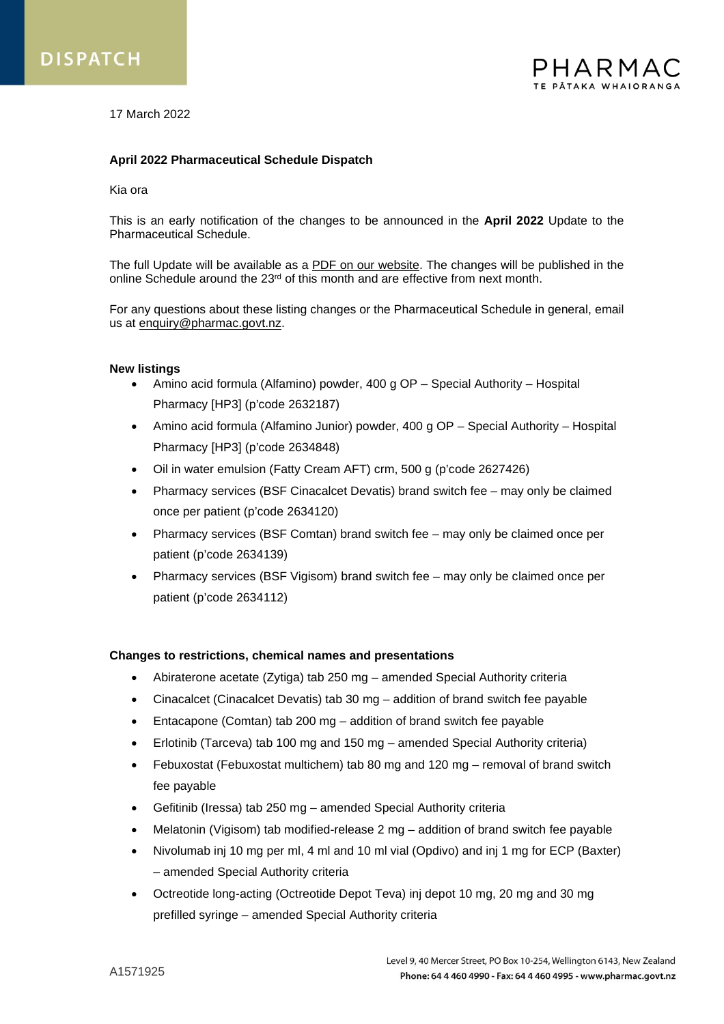

17 March 2022

## **April 2022 Pharmaceutical Schedule Dispatch**

#### Kia ora

This is an early notification of the changes to be announced in the **April 2022** Update to the Pharmaceutical Schedule.

The full Update will be available as a [PDF on our website.](https://schedule.pharmac.govt.nz/latest/SU.pdf) The changes will be published in the online Schedule around the 23<sup>rd</sup> of this month and are effective from next month.

For any questions about these listing changes or the Pharmaceutical Schedule in general, email us at [enquiry@pharmac.govt.nz.](mailto:enquiry@pharmac.govt.nz)

#### **New listings**

- Amino acid formula (Alfamino) powder, 400 g OP Special Authority Hospital Pharmacy [HP3] (p'code 2632187)
- Amino acid formula (Alfamino Junior) powder, 400 g OP Special Authority Hospital Pharmacy [HP3] (p'code 2634848)
- Oil in water emulsion (Fatty Cream AFT) crm, 500 g (p'code 2627426)
- Pharmacy services (BSF Cinacalcet Devatis) brand switch fee may only be claimed once per patient (p'code 2634120)
- Pharmacy services (BSF Comtan) brand switch fee may only be claimed once per patient (p'code 2634139)
- Pharmacy services (BSF Vigisom) brand switch fee may only be claimed once per patient (p'code 2634112)

## **Changes to restrictions, chemical names and presentations**

- Abiraterone acetate (Zytiga) tab 250 mg amended Special Authority criteria
- Cinacalcet (Cinacalcet Devatis) tab 30 mg addition of brand switch fee payable
- Entacapone (Comtan) tab 200 mg addition of brand switch fee payable
- Erlotinib (Tarceva) tab 100 mg and 150 mg amended Special Authority criteria)
- Febuxostat (Febuxostat multichem) tab 80 mg and 120 mg removal of brand switch fee payable
- Gefitinib (Iressa) tab 250 mg amended Special Authority criteria
- Melatonin (Vigisom) tab modified-release 2 mg addition of brand switch fee payable
- Nivolumab inj 10 mg per ml, 4 ml and 10 ml vial (Opdivo) and inj 1 mg for ECP (Baxter) – amended Special Authority criteria
- Octreotide long-acting (Octreotide Depot Teva) inj depot 10 mg, 20 mg and 30 mg prefilled syringe – amended Special Authority criteria